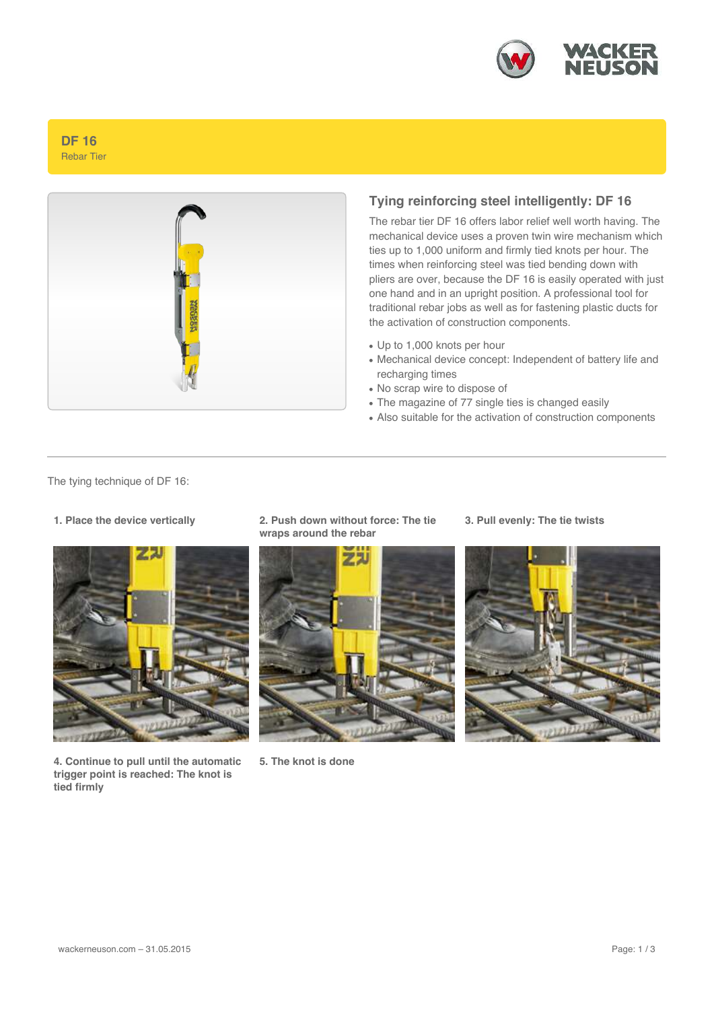

### **DF 16** Rebar Tier



## **Tying reinforcing steel intelligently: DF 16**

The rebar tier DF 16 offers labor relief well worth having. The mechanical device uses a proven twin wire mechanism which ties up to 1,000 uniform and firmly tied knots per hour. The times when reinforcing steel was tied bending down with pliers are over, because the DF 16 is easily operated with just one hand and in an upright position. A professional tool for traditional rebar jobs as well as for fastening plastic ducts for the activation of construction components.

- Up to 1,000 knots per hour
- Mechanical device concept: Independent of battery life and recharging times
- No scrap wire to dispose of
- The magazine of 77 single ties is changed easily
- Also suitable for the activation of construction components

The tying technique of DF 16:



**4. Continue to pull until the automatic trigger point is reached: The knot is tied firmly**

**1. Place the device vertically 2. Push down without force: The tie wraps around the rebar**



### **3. Pull evenly: The tie twists**



**5. The knot is done**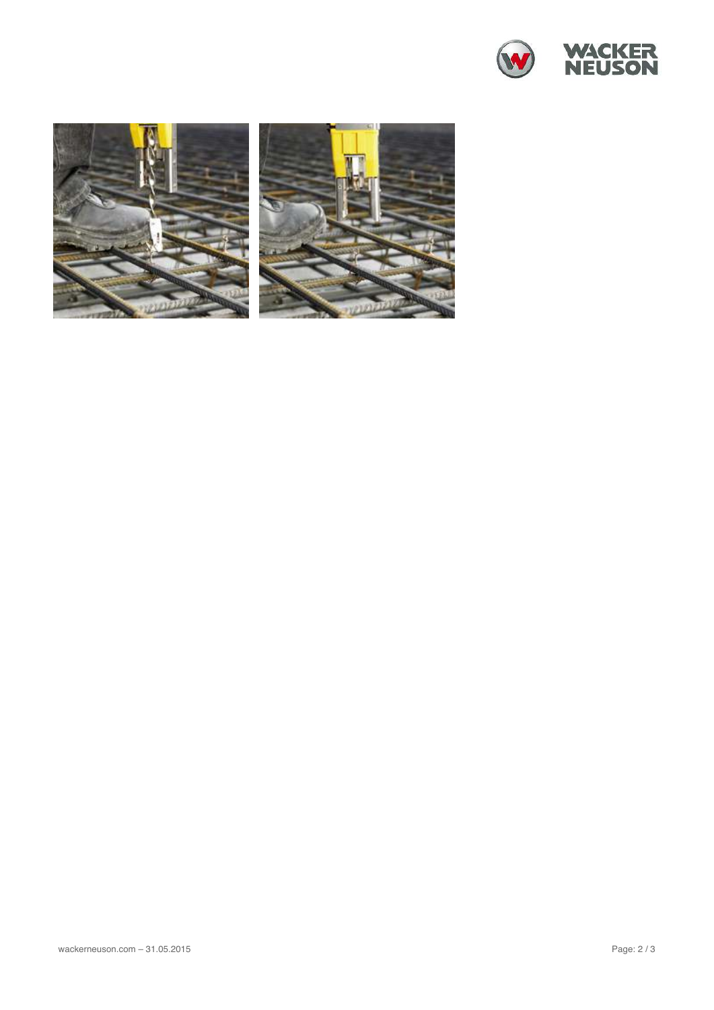